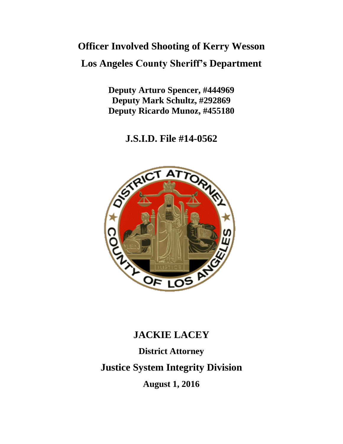# **Officer Involved Shooting of Kerry Wesson Los Angeles County Sheriff's Department**

**Deputy Arturo Spencer, #444969 Deputy Mark Schultz, #292869 Deputy Ricardo Munoz, #455180**

**J.S.I.D. File #14-0562**



# **JACKIE LACEY**

**District Attorney Justice System Integrity Division August 1, 2016**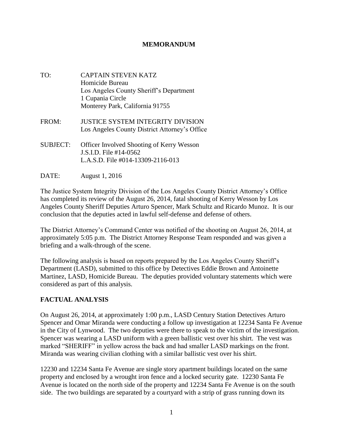#### **MEMORANDUM**

- TO: CAPTAIN STEVEN KATZ Homicide Bureau Los Angeles County Sheriff's Department 1 Cupania Circle Monterey Park, California 91755
- FROM: JUSTICE SYSTEM INTEGRITY DIVISION Los Angeles County District Attorney's Office
- SUBJECT: Officer Involved Shooting of Kerry Wesson J.S.I.D. File #14-0562 L.A.S.D. File #014-13309-2116-013
- DATE: August 1, 2016

The Justice System Integrity Division of the Los Angeles County District Attorney's Office has completed its review of the August 26, 2014, fatal shooting of Kerry Wesson by Los Angeles County Sheriff Deputies Arturo Spencer, Mark Schultz and Ricardo Munoz. It is our conclusion that the deputies acted in lawful self-defense and defense of others.

The District Attorney's Command Center was notified of the shooting on August 26, 2014, at approximately 5:05 p.m. The District Attorney Response Team responded and was given a briefing and a walk-through of the scene.

The following analysis is based on reports prepared by the Los Angeles County Sheriff's Department (LASD), submitted to this office by Detectives Eddie Brown and Antoinette Martinez, LASD, Homicide Bureau. The deputies provided voluntary statements which were considered as part of this analysis.

## **FACTUAL ANALYSIS**

On August 26, 2014, at approximately 1:00 p.m., LASD Century Station Detectives Arturo Spencer and Omar Miranda were conducting a follow up investigation at 12234 Santa Fe Avenue in the City of Lynwood. The two deputies were there to speak to the victim of the investigation. Spencer was wearing a LASD uniform with a green ballistic vest over his shirt. The vest was marked "SHERIFF" in yellow across the back and had smaller LASD markings on the front. Miranda was wearing civilian clothing with a similar ballistic vest over his shirt.

12230 and 12234 Santa Fe Avenue are single story apartment buildings located on the same property and enclosed by a wrought iron fence and a locked security gate. 12230 Santa Fe Avenue is located on the north side of the property and 12234 Santa Fe Avenue is on the south side. The two buildings are separated by a courtyard with a strip of grass running down its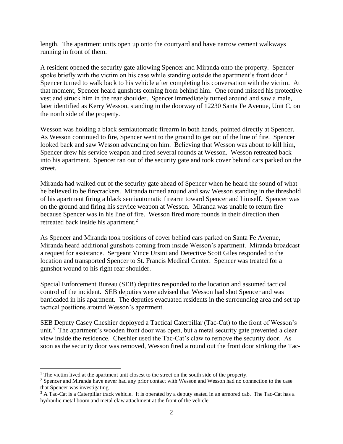length. The apartment units open up onto the courtyard and have narrow cement walkways running in front of them.

A resident opened the security gate allowing Spencer and Miranda onto the property. Spencer spoke briefly with the victim on his case while standing outside the apartment's front door.<sup>1</sup> Spencer turned to walk back to his vehicle after completing his conversation with the victim. At that moment, Spencer heard gunshots coming from behind him. One round missed his protective vest and struck him in the rear shoulder. Spencer immediately turned around and saw a male, later identified as Kerry Wesson, standing in the doorway of 12230 Santa Fe Avenue, Unit C, on the north side of the property.

Wesson was holding a black semiautomatic firearm in both hands, pointed directly at Spencer. As Wesson continued to fire, Spencer went to the ground to get out of the line of fire. Spencer looked back and saw Wesson advancing on him. Believing that Wesson was about to kill him, Spencer drew his service weapon and fired several rounds at Wesson. Wesson retreated back into his apartment. Spencer ran out of the security gate and took cover behind cars parked on the street.

Miranda had walked out of the security gate ahead of Spencer when he heard the sound of what he believed to be firecrackers. Miranda turned around and saw Wesson standing in the threshold of his apartment firing a black semiautomatic firearm toward Spencer and himself. Spencer was on the ground and firing his service weapon at Wesson. Miranda was unable to return fire because Spencer was in his line of fire. Wesson fired more rounds in their direction then retreated back inside his apartment.<sup>2</sup>

As Spencer and Miranda took positions of cover behind cars parked on Santa Fe Avenue, Miranda heard additional gunshots coming from inside Wesson's apartment. Miranda broadcast a request for assistance. Sergeant Vince Ursini and Detective Scott Giles responded to the location and transported Spencer to St. Francis Medical Center. Spencer was treated for a gunshot wound to his right rear shoulder.

Special Enforcement Bureau (SEB) deputies responded to the location and assumed tactical control of the incident. SEB deputies were advised that Wesson had shot Spencer and was barricaded in his apartment. The deputies evacuated residents in the surrounding area and set up tactical positions around Wesson's apartment.

SEB Deputy Casey Cheshier deployed a Tactical Caterpillar (Tac-Cat) to the front of Wesson's unit.<sup>3</sup> The apartment's wooden front door was open, but a metal security gate prevented a clear view inside the residence. Cheshier used the Tac-Cat's claw to remove the security door. As soon as the security door was removed, Wesson fired a round out the front door striking the Tac-

 $\overline{a}$ 

 $<sup>1</sup>$  The victim lived at the apartment unit closest to the street on the south side of the property.</sup>

<sup>&</sup>lt;sup>2</sup> Spencer and Miranda have never had any prior contact with Wesson and Wesson had no connection to the case that Spencer was investigating.

<sup>&</sup>lt;sup>3</sup> A Tac-Cat is a Caterpillar track vehicle. It is operated by a deputy seated in an armored cab. The Tac-Cat has a hydraulic metal boom and metal claw attachment at the front of the vehicle.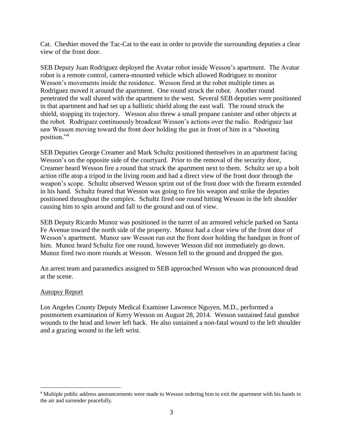Cat. Cheshier moved the Tac-Cat to the east in order to provide the surrounding deputies a clear view of the front door.

SEB Deputy Juan Rodriguez deployed the Avatar robot inside Wesson's apartment. The Avatar robot is a remote control, camera-mounted vehicle which allowed Rodriguez to monitor Wesson's movements inside the residence. Wesson fired at the robot multiple times as Rodriguez moved it around the apartment. One round struck the robot. Another round penetrated the wall shared with the apartment to the west. Several SEB deputies were positioned in that apartment and had set up a ballistic shield along the east wall. The round struck the shield, stopping its trajectory. Wesson also threw a small propane canister and other objects at the robot. Rodriguez continuously broadcast Wesson's actions over the radio. Rodriguez last saw Wesson moving toward the front door holding the gun in front of him in a "shooting position."<sup>4</sup>

SEB Deputies George Creamer and Mark Schultz positioned themselves in an apartment facing Wesson's on the opposite side of the courtyard. Prior to the removal of the security door, Creamer heard Wesson fire a round that struck the apartment next to them. Schultz set up a bolt action rifle atop a tripod in the living room and had a direct view of the front door through the weapon's scope. Schultz observed Wesson sprint out of the front door with the firearm extended in his hand. Schultz feared that Wesson was going to fire his weapon and strike the deputies positioned throughout the complex. Schultz fired one round hitting Wesson in the left shoulder causing him to spin around and fall to the ground and out of view.

SEB Deputy Ricardo Munoz was positioned in the turret of an armored vehicle parked on Santa Fe Avenue toward the north side of the property. Munoz had a clear view of the front door of Wesson's apartment. Munoz saw Wesson run out the front door holding the handgun in front of him. Munoz heard Schultz fire one round, however Wesson did not immediately go down. Munoz fired two more rounds at Wesson. Wesson fell to the ground and dropped the gun.

An arrest team and paramedics assigned to SEB approached Wesson who was pronounced dead at the scene.

#### Autopsy Report

 $\overline{a}$ 

Los Angeles County Deputy Medical Examiner Lawrence Nguyen, M.D., performed a postmortem examination of Kerry Wesson on August 28, 2014. Wesson sustained fatal gunshot wounds to the head and lower left back. He also sustained a non-fatal wound to the left shoulder and a grazing wound to the left wrist.

<sup>4</sup> Multiple public address announcements were made to Wesson ordering him to exit the apartment with his hands in the air and surrender peacefully.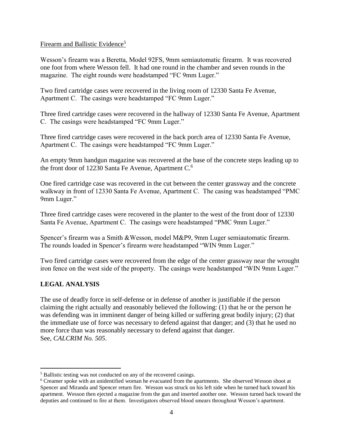#### Firearm and Ballistic Evidence<sup>5</sup>

Wesson's firearm was a Beretta, Model 92FS, 9mm semiautomatic firearm. It was recovered one foot from where Wesson fell. It had one round in the chamber and seven rounds in the magazine. The eight rounds were headstamped "FC 9mm Luger."

Two fired cartridge cases were recovered in the living room of 12330 Santa Fe Avenue, Apartment C. The casings were headstamped "FC 9mm Luger."

Three fired cartridge cases were recovered in the hallway of 12330 Santa Fe Avenue, Apartment C. The casings were headstamped "FC 9mm Luger."

Three fired cartridge cases were recovered in the back porch area of 12330 Santa Fe Avenue, Apartment C. The casings were headstamped "FC 9mm Luger."

An empty 9mm handgun magazine was recovered at the base of the concrete steps leading up to the front door of 12230 Santa Fe Avenue, Apartment C.<sup>6</sup>

One fired cartridge case was recovered in the cut between the center grassway and the concrete walkway in front of 12330 Santa Fe Avenue, Apartment C. The casing was headstamped "PMC 9mm Luger."

Three fired cartridge cases were recovered in the planter to the west of the front door of 12330 Santa Fe Avenue, Apartment C. The casings were headstamped "PMC 9mm Luger."

Spencer's firearm was a Smith &Wesson, model M&P9, 9mm Luger semiautomatic firearm. The rounds loaded in Spencer's firearm were headstamped "WIN 9mm Luger."

Two fired cartridge cases were recovered from the edge of the center grassway near the wrought iron fence on the west side of the property. The casings were headstamped "WIN 9mm Luger."

## **LEGAL ANALYSIS**

 $\overline{a}$ 

The use of deadly force in self-defense or in defense of another is justifiable if the person claiming the right actually and reasonably believed the following: (1) that he or the person he was defending was in imminent danger of being killed or suffering great bodily injury; (2) that the immediate use of force was necessary to defend against that danger; and (3) that he used no more force than was reasonably necessary to defend against that danger. See, *CALCRIM No. 505*.

<sup>5</sup> Ballistic testing was not conducted on any of the recovered casings.

<sup>6</sup> Creamer spoke with an unidentified woman he evacuated from the apartments. She observed Wesson shoot at Spencer and Miranda and Spencer return fire. Wesson was struck on his left side when he turned back toward his apartment. Wesson then ejected a magazine from the gun and inserted another one. Wesson turned back toward the deputies and continued to fire at them. Investigators observed blood smears throughout Wesson's apartment.